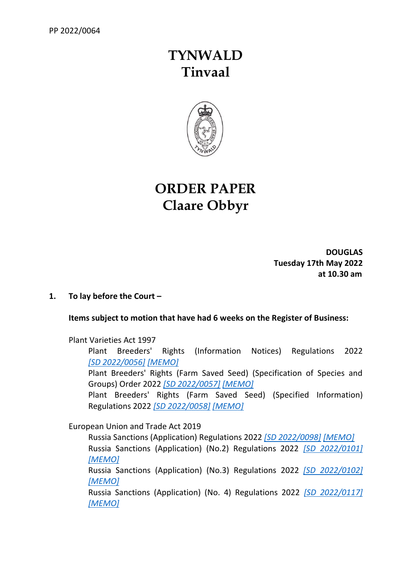# **TYNWALD Tinvaal**



# **ORDER PAPER Claare Obbyr**

**DOUGLAS Tuesday 17th May 2022 at 10.30 am**

# **1. To lay before the Court –**

# **Items subject to motion that have had 6 weeks on the Register of Business:**

Plant Varieties Act 1997

Plant Breeders' Rights (Information Notices) Regulations 2022 *[SD [2022/0056\]](https://www.tynwald.org.im/business/opqp/sittings/20212026/2022-SD-0056.pdf) [\[MEMO\]](https://www.tynwald.org.im/business/opqp/sittings/20212026/2022-SD-0056-memo.pdf)*

Plant Breeders' Rights (Farm Saved Seed) (Specification of Species and Groups) Order 2022 *[\[SD 2022/0057\]](https://www.tynwald.org.im/business/opqp/sittings/20212026/2022-SD-0057.pdf) [\[MEMO\]](https://www.tynwald.org.im/business/opqp/sittings/20212026/2022-SD-0057-memo.pdf)*

Plant Breeders' Rights (Farm Saved Seed) (Specified Information) Regulations 2022 *[\[SD 2022/0058\]](https://www.tynwald.org.im/business/opqp/sittings/20212026/2022-SD-0058.pdf) [\[MEMO\]](https://www.tynwald.org.im/business/opqp/sittings/20212026/2022-SD-0058-memo.pdf)*

European Union and Trade Act 2019

Russia Sanctions (Application) Regulations 2022 *[\[SD 2022/0098\]](https://www.tynwald.org.im/business/opqp/sittings/20212026/2022-SD-0098.pdf) [\[MEMO\]](https://www.tynwald.org.im/business/opqp/sittings/20212026/2022-SD-0098-memo.pdf)* Russia Sanctions (Application) (No.2) Regulations 2022 *[\[SD 2022/0101\]](https://www.tynwald.org.im/business/opqp/sittings/20212026/2022-SD-0101.pdf) [\[MEMO\]](https://www.tynwald.org.im/business/opqp/sittings/20212026/2022-SD-0101-memo.pdf)* Russia Sanctions (Application) (No.3) Regulations 2022 *[\[SD 2022/0102\]](https://www.tynwald.org.im/business/opqp/sittings/20212026/2022-SD-0102.pdf) [\[MEMO\]](https://www.tynwald.org.im/business/opqp/sittings/20212026/2022-SD-0102-memo.pdf)* Russia Sanctions (Application) (No. 4) Regulations 2022 *[\[SD 2022/0117\]](https://www.tynwald.org.im/business/opqp/sittings/20212026/2022-SD-0117.pdf) [\[MEMO\]](https://www.tynwald.org.im/business/opqp/sittings/20212026/2022-SD-0117-memo.pdf)*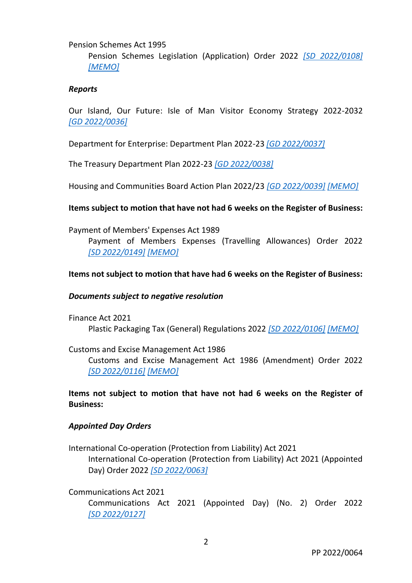#### Pension Schemes Act 1995

Pension Schemes Legislation (Application) Order 2022 *[\[SD 2022/0108\]](https://www.tynwald.org.im/business/opqp/sittings/20212026/2022-SD-0108.pdf) [\[MEMO\]](https://www.tynwald.org.im/business/opqp/sittings/20212026/2022-SD-0108-memo.pdf)*

#### *Reports*

Our Island, Our Future: Isle of Man Visitor Economy Strategy 2022-2032 *[GD [2022/0036\]](https://www.tynwald.org.im/business/opqp/sittings/20212026/2022-GD-0036.pdf)*

Department for Enterprise: Department Plan 2022-23 *[\[GD 2022/0037\]](https://www.tynwald.org.im/business/opqp/sittings/20212026/2022-GD-0037.pdf)*

The Treasury Department Plan 2022-23 *[\[GD 2022/0038\]](https://www.tynwald.org.im/business/opqp/sittings/20212026/2022-GD-0038.pdf)*

Housing and Communities Board Action Plan 2022/23 *[\[GD 2022/0039\]](https://www.tynwald.org.im/business/opqp/sittings/20212026/2022-GD-0039.pdf) [\[MEMO\]](https://www.tynwald.org.im/business/opqp/sittings/20212026/2022-GD-0039-memo.pdf)*

#### **Items subject to motion that have not had 6 weeks on the Register of Business:**

Payment of Members' Expenses Act 1989

Payment of Members Expenses (Travelling Allowances) Order 2022 *[SD [2022/0149\]](https://www.tynwald.org.im/business/opqp/sittings/20212026/2022-SD-0149.pdf) [\[MEMO\]](https://www.tynwald.org.im/business/opqp/sittings/20212026/2022-SD-0149-MEMO.pdf)*

#### **Items not subject to motion that have had 6 weeks on the Register of Business:**

#### *Documents subject to negative resolution*

Finance Act 2021 Plastic Packaging Tax (General) Regulations 2022 *[\[SD 2022/0106\]](https://www.tynwald.org.im/business/opqp/sittings/20212026/2022-SD-0106.pdf) [\[MEMO\]](https://www.tynwald.org.im/business/opqp/sittings/20212026/2022-SD-0106-memo.pdf)*

Customs and Excise Management Act 1986

Customs and Excise Management Act 1986 (Amendment) Order 2022 *[SD [2022/0116\]](https://www.tynwald.org.im/business/opqp/sittings/20212026/2022-SD-0116.pdf) [\[MEMO\]](https://www.tynwald.org.im/business/opqp/sittings/20212026/2022-SD-0116-memo.pdf)*

**Items not subject to motion that have not had 6 weeks on the Register of Business:**

#### *Appointed Day Orders*

International Co-operation (Protection from Liability) Act 2021

International Co-operation (Protection from Liability) Act 2021 (Appointed Day) Order 2022 *[\[SD 2022/0063\]](https://www.tynwald.org.im/business/opqp/sittings/20212026/2022-SD-0063.pdf)*

Communications Act 2021 Communications Act 2021 (Appointed Day) (No. 2) Order 2022 *[SD [2022/0127\]](https://www.tynwald.org.im/business/opqp/sittings/20212026/2022-SD-0127.pdf)*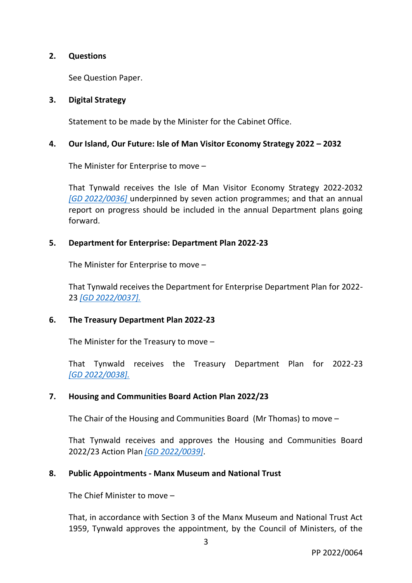## **2. Questions**

See Question Paper.

## **3. Digital Strategy**

Statement to be made by the Minister for the Cabinet Office.

#### **4. Our Island, Our Future: Isle of Man Visitor Economy Strategy 2022 – 2032**

The Minister for Enterprise to move –

That Tynwald receives the Isle of Man Visitor Economy Strategy 2022-2032 *[GD [2022/0036\]](https://www.tynwald.org.im/business/opqp/sittings/20212026/2022-GD-0036.pdf)* underpinned by seven action programmes; and that an annual report on progress should be included in the annual Department plans going forward.

#### **5. Department for Enterprise: Department Plan 2022-23**

The Minister for Enterprise to move –

That Tynwald receives the Department for Enterprise Department Plan for 2022- 23 *[\[GD 2022/0037\].](https://www.tynwald.org.im/business/opqp/sittings/20212026/2022-GD-0037.pdf)*

## **6. The Treasury Department Plan 2022-23**

The Minister for the Treasury to move –

That Tynwald receives the Treasury Department Plan for 2022-23 *[GD [2022/0038\].](https://www.tynwald.org.im/business/opqp/sittings/20212026/2022-GD-0038.pdf)*

## **7. Housing and Communities Board Action Plan 2022/23**

The Chair of the Housing and Communities Board (Mr Thomas) to move –

That Tynwald receives and approves the Housing and Communities Board 2022/23 Action Plan *[\[GD 2022/0039\]](https://www.tynwald.org.im/business/opqp/sittings/20212026/2022-GD-0039.pdf)*.

## **8. Public Appointments - Manx Museum and National Trust**

The Chief Minister to move –

That, in accordance with Section 3 of the Manx Museum and National Trust Act 1959, Tynwald approves the appointment, by the Council of Ministers, of the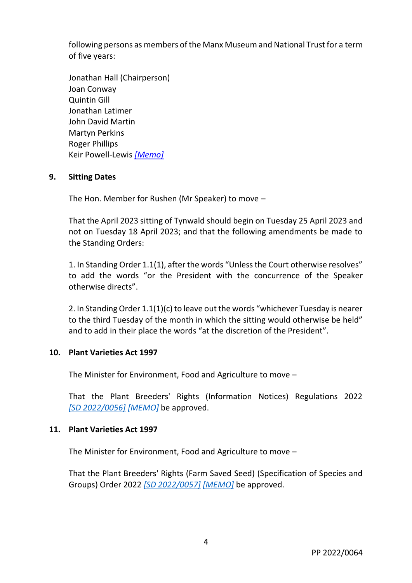following persons as members of the Manx Museum and National Trust for a term of five years:

Jonathan Hall (Chairperson) Joan Conway Quintin Gill Jonathan Latimer John David Martin Martyn Perkins Roger Phillips Keir Powell-Lewis *[\[Memo\]](https://www.tynwald.org.im/business/opqp/sittings/20212026/Public_Appointments_Manx_Museum_National_Trust-memo.pdf)*

## **9. Sitting Dates**

The Hon. Member for Rushen (Mr Speaker) to move –

That the April 2023 sitting of Tynwald should begin on Tuesday 25 April 2023 and not on Tuesday 18 April 2023; and that the following amendments be made to the Standing Orders:

1. In Standing Order 1.1(1), after the words "Unless the Court otherwise resolves" to add the words "or the President with the concurrence of the Speaker otherwise directs".

2. In Standing Order 1.1(1)(c) to leave out the words "whichever Tuesday is nearer to the third Tuesday of the month in which the sitting would otherwise be held" and to add in their place the words "at the discretion of the President".

## **10. Plant Varieties Act 1997**

The Minister for Environment, Food and Agriculture to move –

That the Plant Breeders' Rights (Information Notices) Regulations 2022 *[SD [2022/0056\]](https://www.tynwald.org.im/business/opqp/sittings/20212026/2022-SD-0056.pdf) [MEMO]* be approved.

## **11. Plant Varieties Act 1997**

The Minister for Environment, Food and Agriculture to move –

That the Plant Breeders' Rights (Farm Saved Seed) (Specification of Species and Groups) Order 2022 *[\[SD 2022/0057\]](https://www.tynwald.org.im/business/opqp/sittings/20212026/2022-SD-0057.pdf) [\[MEMO\]](https://www.tynwald.org.im/business/opqp/sittings/20212026/2022-SD-0057-memo.pdf)* be approved.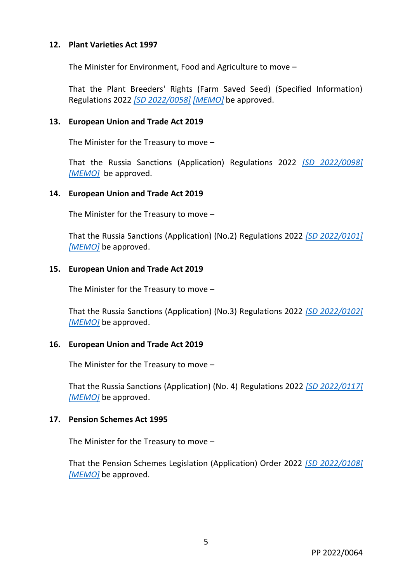## **12. Plant Varieties Act 1997**

The Minister for Environment, Food and Agriculture to move –

That the Plant Breeders' Rights (Farm Saved Seed) (Specified Information) Regulations 2022 *[\[SD 2022/0058\]](https://www.tynwald.org.im/business/opqp/sittings/20212026/2022-SD-0058.pdf) [\[MEMO\]](https://www.tynwald.org.im/business/opqp/sittings/20212026/2022-SD-0058-memo.pdf)* be approved.

#### **13. European Union and Trade Act 2019**

The Minister for the Treasury to move –

That the Russia Sanctions (Application) Regulations 2022 *[\[SD 2022/0098\]](https://www.tynwald.org.im/business/opqp/sittings/20212026/2022-SD-0098.pdf) [\[MEMO\]](https://www.tynwald.org.im/business/opqp/sittings/20212026/2022-SD-0098-memo.pdf)* be approved.

#### **14. European Union and Trade Act 2019**

The Minister for the Treasury to move –

That the Russia Sanctions (Application) (No.2) Regulations 2022 *[\[SD 2022/0101\]](https://www.tynwald.org.im/business/opqp/sittings/20212026/2022-SD-0101.pdf) [\[MEMO\]](https://www.tynwald.org.im/business/opqp/sittings/20212026/2022-SD-0101-memo.pdf)* be approved.

#### **15. European Union and Trade Act 2019**

The Minister for the Treasury to move –

That the Russia Sanctions (Application) (No.3) Regulations 2022 *[\[SD 2022/0102\]](https://www.tynwald.org.im/business/opqp/sittings/20212026/2022-SD-0102.pdf) [\[MEMO\]](https://www.tynwald.org.im/business/opqp/sittings/20212026/2022-SD-0102-memo.pdf)* be approved.

## **16. European Union and Trade Act 2019**

The Minister for the Treasury to move –

That the Russia Sanctions (Application) (No. 4) Regulations 2022 *[\[SD 2022/0117\]](https://www.tynwald.org.im/business/opqp/sittings/20212026/2022-SD-0117.pdf) [\[MEMO\]](https://www.tynwald.org.im/business/opqp/sittings/20212026/2022-SD-0117-memo.pdf)* be approved.

#### **17. Pension Schemes Act 1995**

The Minister for the Treasury to move –

That the Pension Schemes Legislation (Application) Order 2022 *[\[SD 2022/0108\]](https://www.tynwald.org.im/business/opqp/sittings/20212026/2022-SD-0108.pdf) [\[MEMO\]](https://www.tynwald.org.im/business/opqp/sittings/20212026/2022-SD-0108-memo.pdf)* be approved.